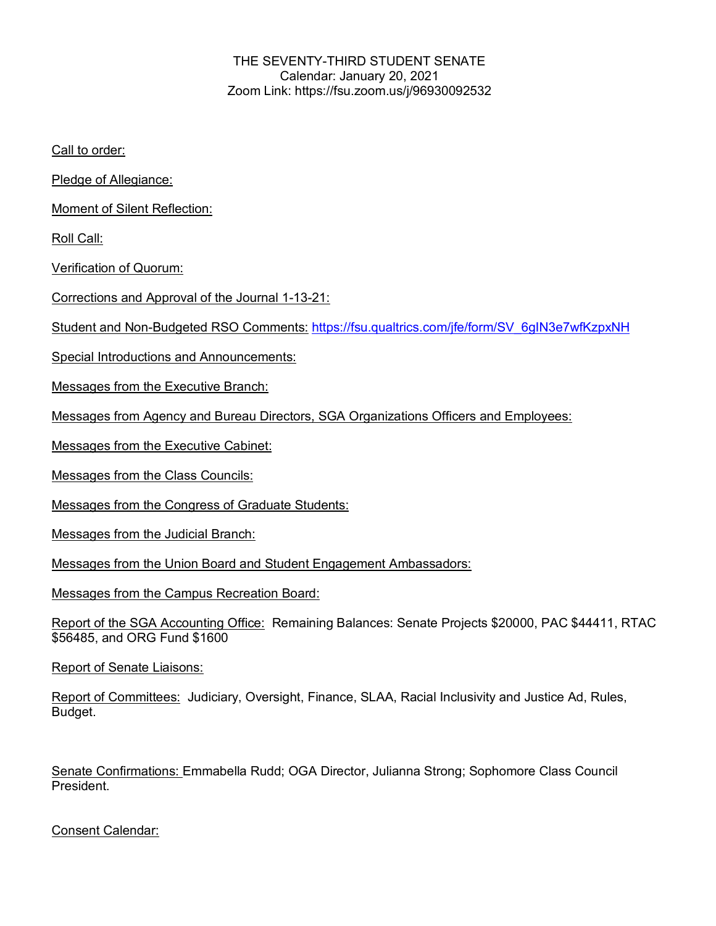## THE SEVENTY-THIRD STUDENT SENATE Calendar: January 20, 2021 Zoom Link: https://fsu.zoom.us/j/96930092532

Call to order:

Pledge of Allegiance:

Moment of Silent Reflection:

Roll Call:

Verification of Quorum:

Corrections and Approval of the Journal 1-13-21:

Student and Non-Budgeted RSO Comments: https://fsu.qualtrics.com/jfe/form/SV\_6gIN3e7wfKzpxNH

Special Introductions and Announcements:

Messages from the Executive Branch:

Messages from Agency and Bureau Directors, SGA Organizations Officers and Employees:

Messages from the Executive Cabinet:

Messages from the Class Councils:

Messages from the Congress of Graduate Students:

Messages from the Judicial Branch:

Messages from the Union Board and Student Engagement Ambassadors:

Messages from the Campus Recreation Board:

Report of the SGA Accounting Office: Remaining Balances: Senate Projects \$20000, PAC \$44411, RTAC \$56485, and ORG Fund \$1600

Report of Senate Liaisons:

Report of Committees: Judiciary, Oversight, Finance, SLAA, Racial Inclusivity and Justice Ad, Rules, Budget.

Senate Confirmations: Emmabella Rudd; OGA Director, Julianna Strong; Sophomore Class Council President.

Consent Calendar: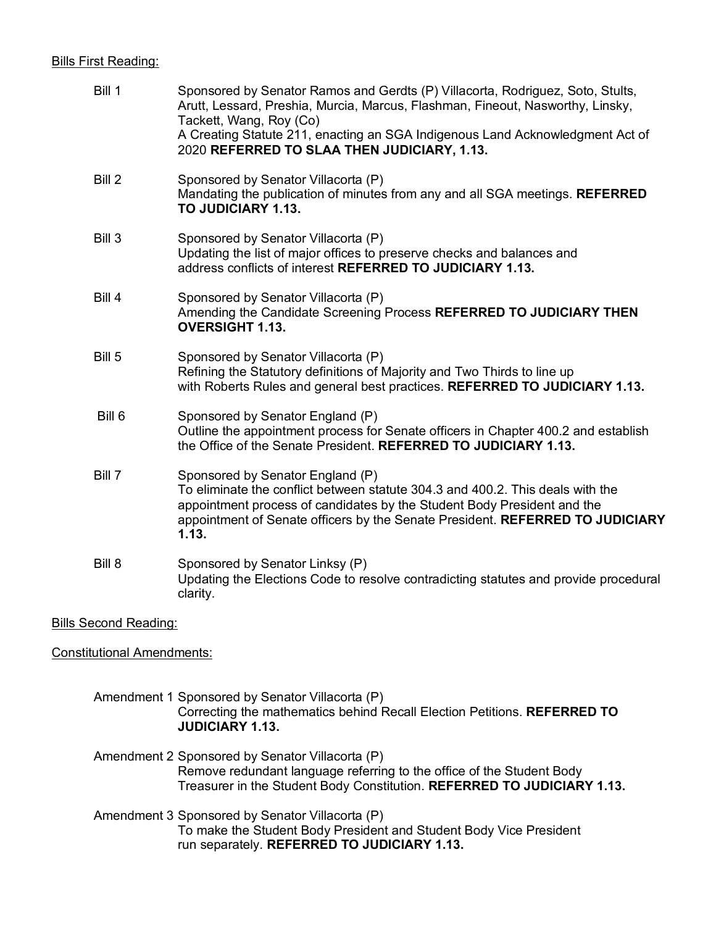## Bills First Reading:

| Bill 1 | Sponsored by Senator Ramos and Gerdts (P) Villacorta, Rodriguez, Soto, Stults,<br>Arutt, Lessard, Preshia, Murcia, Marcus, Flashman, Fineout, Nasworthy, Linsky,<br>Tackett, Wang, Roy (Co)<br>A Creating Statute 211, enacting an SGA Indigenous Land Acknowledgment Act of            |
|--------|-----------------------------------------------------------------------------------------------------------------------------------------------------------------------------------------------------------------------------------------------------------------------------------------|
|        | 2020 REFERRED TO SLAA THEN JUDICIARY, 1.13.                                                                                                                                                                                                                                             |
| Bill 2 | Sponsored by Senator Villacorta (P)<br>Mandating the publication of minutes from any and all SGA meetings. REFERRED<br>TO JUDICIARY 1.13.                                                                                                                                               |
| Bill 3 | Sponsored by Senator Villacorta (P)<br>Updating the list of major offices to preserve checks and balances and<br>address conflicts of interest REFERRED TO JUDICIARY 1.13.                                                                                                              |
| Bill 4 | Sponsored by Senator Villacorta (P)<br>Amending the Candidate Screening Process REFERRED TO JUDICIARY THEN<br><b>OVERSIGHT 1.13.</b>                                                                                                                                                    |
| Bill 5 | Sponsored by Senator Villacorta (P)<br>Refining the Statutory definitions of Majority and Two Thirds to line up<br>with Roberts Rules and general best practices. REFERRED TO JUDICIARY 1.13.                                                                                           |
| Bill 6 | Sponsored by Senator England (P)<br>Outline the appointment process for Senate officers in Chapter 400.2 and establish<br>the Office of the Senate President. REFERRED TO JUDICIARY 1.13.                                                                                               |
| Bill 7 | Sponsored by Senator England (P)<br>To eliminate the conflict between statute 304.3 and 400.2. This deals with the<br>appointment process of candidates by the Student Body President and the<br>appointment of Senate officers by the Senate President. REFERRED TO JUDICIARY<br>1.13. |
| Bill 8 | Sponsored by Senator Linksy (P)<br>Updating the Elections Code to resolve contradicting statutes and provide procedural<br>clarity.                                                                                                                                                     |
|        |                                                                                                                                                                                                                                                                                         |

Bills Second Reading:

Constitutional Amendments:

Amendment 1 Sponsored by Senator Villacorta (P) Correcting the mathematics behind Recall Election Petitions. **REFERRED TO JUDICIARY 1.13.**

Amendment 2 Sponsored by Senator Villacorta (P) Remove redundant language referring to the office of the Student Body Treasurer in the Student Body Constitution. **REFERRED TO JUDICIARY 1.13.**

 Amendment 3 Sponsored by Senator Villacorta (P) To make the Student Body President and Student Body Vice President run separately. **REFERRED TO JUDICIARY 1.13.**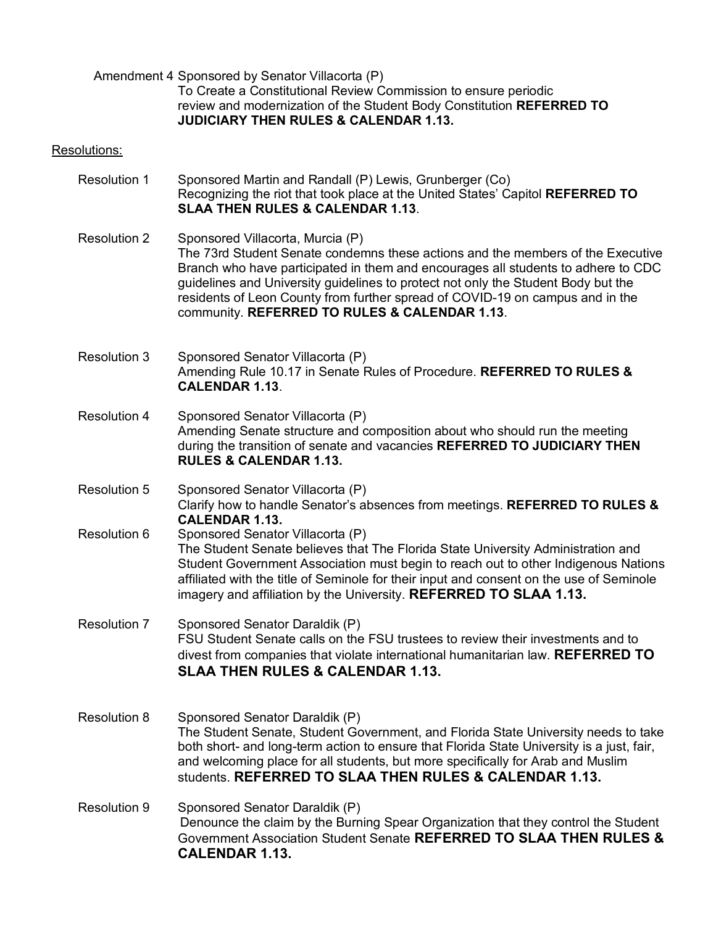Amendment 4 Sponsored by Senator Villacorta (P)

To Create a Constitutional Review Commission to ensure periodic review and modernization of the Student Body Constitution **REFERRED TO JUDICIARY THEN RULES & CALENDAR 1.13.**

## Resolutions:

- Resolution 1 Sponsored Martin and Randall (P) Lewis, Grunberger (Co) Recognizing the riot that took place at the United States' Capitol **REFERRED TO SLAA THEN RULES & CALENDAR 1.13**.
- Resolution 2 Sponsored Villacorta, Murcia (P) The 73rd Student Senate condemns these actions and the members of the Executive Branch who have participated in them and encourages all students to adhere to CDC guidelines and University guidelines to protect not only the Student Body but the residents of Leon County from further spread of COVID-19 on campus and in the community. **REFERRED TO RULES & CALENDAR 1.13**.
- Resolution 3 Sponsored Senator Villacorta (P) Amending Rule 10.17 in Senate Rules of Procedure. **REFERRED TO RULES & CALENDAR 1.13**.
- Resolution 4 Sponsored Senator Villacorta (P) Amending Senate structure and composition about who should run the meeting during the transition of senate and vacancies **REFERRED TO JUDICIARY THEN RULES & CALENDAR 1.13.**
- Resolution 5 Sponsored Senator Villacorta (P) Clarify how to handle Senator's absences from meetings. **REFERRED TO RULES & CALENDAR 1.13.** Resolution 6 Sponsored Senator Villacorta (P) The Student Senate believes that The Florida State University Administration and
	- Student Government Association must begin to reach out to other Indigenous Nations affiliated with the title of Seminole for their input and consent on the use of Seminole imagery and affiliation by the University. **REFERRED TO SLAA 1.13.**
- Resolution 7 Sponsored Senator Daraldik (P) FSU Student Senate calls on the FSU trustees to review their investments and to divest from companies that violate international humanitarian law. **REFERRED TO SLAA THEN RULES & CALENDAR 1.13.**
- Resolution 8 Sponsored Senator Daraldik (P) The Student Senate, Student Government, and Florida State University needs to take both short- and long-term action to ensure that Florida State University is a just, fair, and welcoming place for all students, but more specifically for Arab and Muslim students. **REFERRED TO SLAA THEN RULES & CALENDAR 1.13.**
- Resolution 9 Sponsored Senator Daraldik (P) Denounce the claim by the Burning Spear Organization that they control the Student Government Association Student Senate **REFERRED TO SLAA THEN RULES & CALENDAR 1.13.**